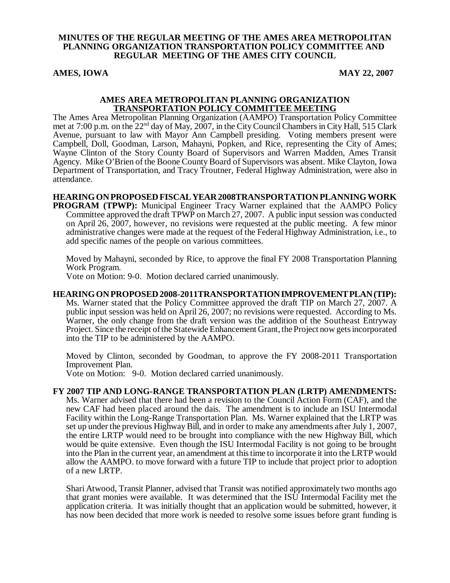#### **MINUTES OF THE REGULAR MEETING OF THE AMES AREA METROPOLITAN PLANNING ORGANIZATION TRANSPORTATION POLICY COMMITTEE AND REGULAR MEETING OF THE AMES CITY COUNCIL**

## **AMES, IOWA** MAY 22, 2007

#### **AMES AREA METROPOLITAN PLANNING ORGANIZATION TRANSPORTATION POLICY COMMITTEE MEETING**

The Ames Area Metropolitan Planning Organization (AAMPO) Transportation Policy Committee met at 7:00 p.m. on the 22<sup>nd</sup> day of May, 2007, in the City Council Chambers in City Hall, 515 Clark Avenue, pursuant to law with Mayor Ann Campbell presiding. Voting members present were Campbell, Doll, Goodman, Larson, Mahayni, Popken, and Rice, representing the City of Ames; Wayne Clinton of the Story County Board of Supervisors and Warren Madden, Ames Transit Agency. Mike O'Brien of the Boone County Board of Supervisors was absent. Mike Clayton, Iowa Department of Transportation, and Tracy Troutner, Federal Highway Administration, were also in attendance.

#### **HEARING ON PROPOSED FISCAL YEAR 2008TRANSPORTATION PLANNING WORK PROGRAM (TPWP):** Municipal Engineer Tracy Warner explained that the AAMPO Policy Committee approved the draft TPWP on March 27, 2007. A public input session was conducted on April 26, 2007, however, no revisions were requested at the public meeting. A few minor administrative changes were made at the request of the Federal Highway Administration, i.e., to add specific names of the people on various committees.

Moved by Mahayni, seconded by Rice, to approve the final FY 2008 Transportation Planning Work Program.

Vote on Motion: 9-0. Motion declared carried unanimously.

#### **HEARING ON PROPOSED 2008-2011TRANSPORTATION IMPROVEMENT PLAN (TIP):** Ms. Warner stated that the Policy Committee approved the draft TIP on March 27, 2007. A public input session was held on April 26, 2007; no revisions were requested. According to Ms. Warner, the only change from the draft version was the addition of the Southeast Entryway Project. Since the receipt of the Statewide Enhancement Grant, the Project now gets incorporated into the TIP to be administered by the AAMPO.

Moved by Clinton, seconded by Goodman, to approve the FY 2008-2011 Transportation Improvement Plan.

Vote on Motion: 9-0. Motion declared carried unanimously.

# **FY 2007 TIP AND LONG-RANGE TRANSPORTATION PLAN (LRTP) AMENDMENTS:**

Ms. Warner advised that there had been a revision to the Council Action Form (CAF), and the new CAF had been placed around the dais. The amendment is to include an ISU Intermodal Facility within the Long-Range Transportation Plan. Ms. Warner explained that the LRTP was set up under the previous Highway Bill, and in order to make any amendments after July 1, 2007, the entire LRTP would need to be brought into compliance with the new Highway Bill, which would be quite extensive. Even though the ISU Intermodal Facility is not going to be brought into the Plan in the current year, an amendment at this time to incorporate it into the LRTP would allow the AAMPO. to move forward with a future TIP to include that project prior to adoption of a new LRTP.

Shari Atwood, Transit Planner, advised that Transit was notified approximately two months ago that grant monies were available. It was determined that the ISU Intermodal Facility met the application criteria. It was initially thought that an application would be submitted, however, it has now been decided that more work is needed to resolve some issues before grant funding is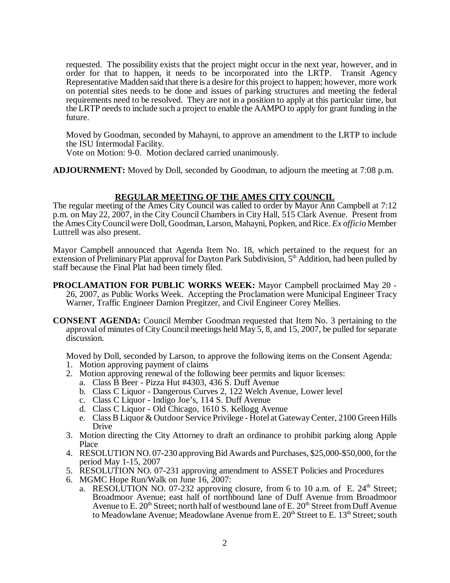requested. The possibility exists that the project might occur in the next year, however, and in order for that to happen, it needs to be incorporated into the LRTP. Transit Agency Representative Madden said that there is a desire for this project to happen; however, more work on potential sites needs to be done and issues of parking structures and meeting the federal requirements need to be resolved. They are not in a position to apply at this particular time, but the LRTP needs to include such a project to enable the AAMPO to apply for grant funding in the future.

Moved by Goodman, seconded by Mahayni, to approve an amendment to the LRTP to include the ISU Intermodal Facility.

Vote on Motion: 9-0. Motion declared carried unanimously.

**ADJOURNMENT:** Moved by Doll, seconded by Goodman, to adjourn the meeting at 7:08 p.m.

## **REGULAR MEETING OF THE AMES CITY COUNCIL**

The regular meeting of the Ames City Council was called to order by Mayor Ann Campbell at 7:12 p.m. on May 22, 2007, in the City Council Chambers in City Hall, 515 Clark Avenue. Present from the Ames City Council were Doll, Goodman, Larson, Mahayni, Popken, and Rice. *Ex officio* Member Luttrell was also present.

Mayor Campbell announced that Agenda Item No. 18, which pertained to the request for an extension of Preliminary Plat approval for Dayton Park Subdivision, 5<sup>th</sup> Addition, had been pulled by staff because the Final Plat had been timely filed.

- **PROCLAMATION FOR PUBLIC WORKS WEEK:** Mayor Campbell proclaimed May 20 26, 2007, as Public Works Week. Accepting the Proclamation were Municipal Engineer Tracy Warner, Traffic Engineer Damion Pregitzer, and Civil Engineer Corey Mellies.
- **CONSENT AGENDA:** Council Member Goodman requested that Item No. 3 pertaining to the approval of minutes of City Council meetings held May 5, 8, and 15, 2007, be pulled for separate discussion.

Moved by Doll, seconded by Larson, to approve the following items on the Consent Agenda: 1. Motion approving payment of claims

- 2. Motion approving renewal of the following beer permits and liquor licenses:
	- a. Class B Beer Pizza Hut #4303, 436 S. Duff Avenue
	- b. Class C Liquor Dangerous Curves 2, 122 Welch Avenue, Lower level
	- c. Class C Liquor Indigo Joe's, 114 S. Duff Avenue
	- d. Class C Liquor Old Chicago, 1610 S. Kellogg Avenue
	- e. Class B Liquor & Outdoor Service Privilege Hotel at Gateway Center, 2100 Green Hills Drive
- 3. Motion directing the City Attorney to draft an ordinance to prohibit parking along Apple Place
- 4. RESOLUTION NO. 07-230 approving Bid Awards and Purchases, \$25,000-\$50,000, for the period May 1-15, 2007
- 5. RESOLUTION NO. 07-231 approving amendment to ASSET Policies and Procedures
- 6. MGMC Hope Run/Walk on June 16, 2007:
	- a. RESOLUTION NO. 07-232 approving closure, from 6 to 10 a.m. of E.  $24<sup>th</sup>$  Street; Broadmoor Avenue; east half of northbound lane of Duff Avenue from Broadmoor Avenue to E.  $20<sup>th</sup> Street$ ; north half of westbound lane of E.  $20<sup>th</sup> Street from Duff Avenue$ to Meadowlane Avenue; Meadowlane Avenue from E.  $20<sup>th</sup>$  Street to E.  $13<sup>th</sup>$  Street; south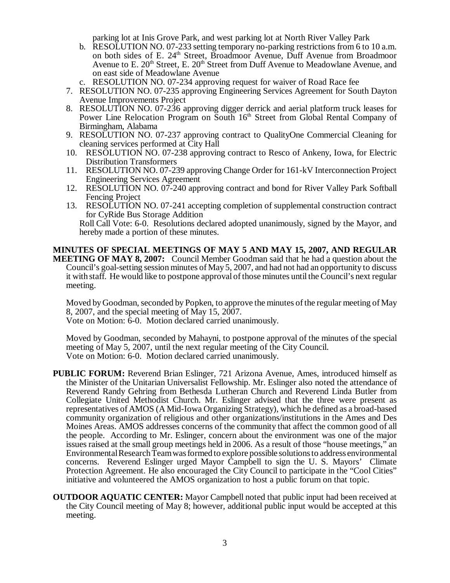parking lot at Inis Grove Park, and west parking lot at North River Valley Park

- b. RESOLUTION NO. 07-233 setting temporary no-parking restrictions from 6 to 10 a.m. on both sides of E. 24<sup>th</sup> Street, Broadmoor Avenue, Duff Avenue from Broadmoor Avenue to E.  $20<sup>th</sup>$  Street, E.  $20<sup>th</sup>$  Street from Duff Avenue to Meadowlane Avenue, and on east side of Meadowlane Avenue
- c. RESOLUTION NO. 07-234 approving request for waiver of Road Race fee
- 7. RESOLUTION NO. 07-235 approving Engineering Services Agreement for South Dayton Avenue Improvements Project
- 8. RESOLUTION NO. 07-236 approving digger derrick and aerial platform truck leases for Power Line Relocation Program on South 16<sup>th</sup> Street from Global Rental Company of Birmingham, Alabama
- 9. RESOLUTION NO. 07-237 approving contract to QualityOne Commercial Cleaning for cleaning services performed at City Hall
- 10. RESOLUTION NO. 07-238 approving contract to Resco of Ankeny, Iowa, for Electric Distribution Transformers
- 11. RESOLUTION NO. 07-239 approving Change Order for 161-kV Interconnection Project Engineering Services Agreement
- 12. RESOLUTION NO. 07-240 approving contract and bond for River Valley Park Softball Fencing Project
- 13. RESOLUTION NO. 07-241 accepting completion of supplemental construction contract for CyRide Bus Storage Addition

Roll Call Vote: 6-0. Resolutions declared adopted unanimously, signed by the Mayor, and hereby made a portion of these minutes.

**MINUTES OF SPECIAL MEETINGS OF MAY 5 AND MAY 15, 2007, AND REGULAR MEETING OF MAY 8, 2007:** Council Member Goodman said that he had a question about the Council's goal-setting session minutes of May 5, 2007, and had not had an opportunity to discuss it with staff. He would like to postpone approval of those minutes until the Council's next regular meeting.

Moved by Goodman, seconded by Popken, to approve the minutes of the regular meeting of May 8, 2007, and the special meeting of May 15,  $2007$ .

Vote on Motion: 6-0. Motion declared carried unanimously.

Moved by Goodman, seconded by Mahayni, to postpone approval of the minutes of the special meeting of May 5, 2007, until the next regular meeting of the City Council. Vote on Motion: 6-0. Motion declared carried unanimously.

- **PUBLIC FORUM:** Reverend Brian Eslinger, 721 Arizona Avenue, Ames, introduced himself as the Minister of the Unitarian Universalist Fellowship. Mr. Eslinger also noted the attendance of Reverend Randy Gehring from Bethesda Lutheran Church and Reverend Linda Butler from Collegiate United Methodist Church. Mr. Eslinger advised that the three were present as representatives of AMOS (A Mid-Iowa Organizing Strategy), which he defined as a broad-based community organization of religious and other organizations/institutions in the Ames and Des Moines Areas. AMOS addresses concerns of the community that affect the common good of all the people. According to Mr. Eslinger, concern about the environment was one of the major issues raised at the small group meetings held in 2006. As a result of those "house meetings," an Environmental Research Team was formed to explore possible solutions to address environmental concerns. Reverend Eslinger urged Mayor Campbell to sign the U. S. Mayors' Climate Protection Agreement. He also encouraged the City Council to participate in the "Cool Cities" initiative and volunteered the AMOS organization to host a public forum on that topic.
- **OUTDOOR AQUATIC CENTER:** Mayor Campbell noted that public input had been received at the City Council meeting of May 8; however, additional public input would be accepted at this meeting.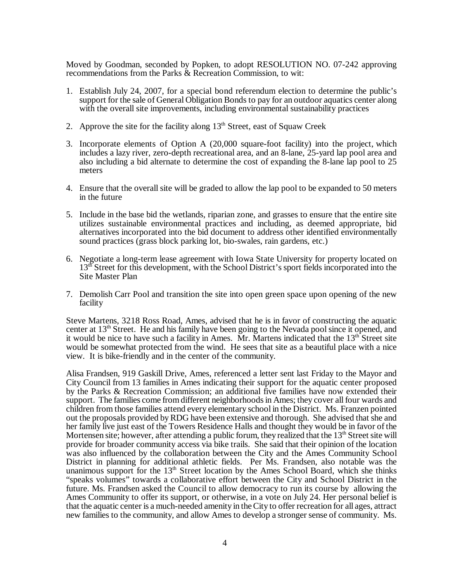Moved by Goodman, seconded by Popken, to adopt RESOLUTION NO. 07-242 approving recommendations from the Parks & Recreation Commission, to wit:

- 1. Establish July 24, 2007, for a special bond referendum election to determine the public's support for the sale of General Obligation Bonds to pay for an outdoor aquatics center along with the overall site improvements, including environmental sustainability practices
- 2. Approve the site for the facility along  $13<sup>th</sup>$  Street, east of Squaw Creek
- 3. Incorporate elements of Option A (20,000 square-foot facility) into the project, which includes a lazy river, zero-depth recreational area, and an 8-lane, 25-yard lap pool area and also including a bid alternate to determine the cost of expanding the 8-lane lap pool to 25 meters
- 4. Ensure that the overall site will be graded to allow the lap pool to be expanded to 50 meters in the future
- 5. Include in the base bid the wetlands, riparian zone, and grasses to ensure that the entire site utilizes sustainable environmental practices and including, as deemed appropriate, bid alternatives incorporated into the bid document to address other identified environmentally sound practices (grass block parking lot, bio-swales, rain gardens, etc.)
- 6. Negotiate a long-term lease agreement with Iowa State University for property located on 13<sup>th</sup> Street for this development, with the School District's sport fields incorporated into the Site Master Plan
- 7. Demolish Carr Pool and transition the site into open green space upon opening of the new facility

Steve Martens, 3218 Ross Road, Ames, advised that he is in favor of constructing the aquatic center at  $13<sup>th</sup>$  Street. He and his family have been going to the Nevada pool since it opened, and it would be nice to have such a facility in Ames. Mr. Martens indicated that the  $13<sup>th</sup>$  Street site would be somewhat protected from the wind. He sees that site as a beautiful place with a nice view. It is bike-friendly and in the center of the community.

Alisa Frandsen, 919 Gaskill Drive, Ames, referenced a letter sent last Friday to the Mayor and City Council from 13 families in Ames indicating their support for the aquatic center proposed by the Parks & Recreation Commission; an additional five families have now extended their support. The families come from different neighborhoods in Ames; they cover all four wards and children from those families attend every elementary school in the District. Ms. Franzen pointed out the proposals provided by RDG have been extensive and thorough. She advised that she and her family live just east of the Towers Residence Halls and thought they would be in favor of the Mortensen site; however, after attending a public forum, they realized that the  $13<sup>th</sup>$  Street site will provide for broader community access via bike trails. She said that their opinion of the location was also influenced by the collaboration between the City and the Ames Community School District in planning for additional athletic fields. Per Ms. Frandsen, also notable was the unanimous support for the  $13<sup>th</sup>$  Street location by the Ames School Board, which she thinks "speaks volumes" towards a collaborative effort between the City and School District in the future. Ms. Frandsen asked the Council to allow democracy to run its course by allowing the Ames Community to offer its support, or otherwise, in a vote on July 24. Her personal belief is that the aquatic center is a much-needed amenity in the City to offer recreation for all ages, attract new families to the community, and allow Ames to develop a stronger sense of community. Ms.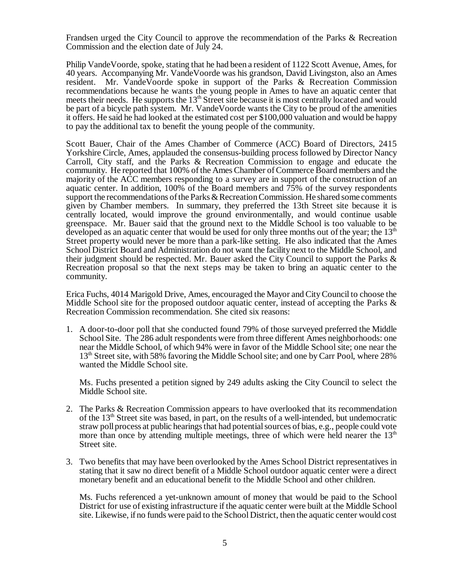Frandsen urged the City Council to approve the recommendation of the Parks & Recreation Commission and the election date of July 24.

Philip VandeVoorde, spoke, stating that he had been a resident of 1122 Scott Avenue, Ames, for 40 years. Accompanying Mr. VandeVoorde was his grandson, David Livingston, also an Ames resident. Mr. VandeVoorde spoke in support of the Parks & Recreation Commission recommendations because he wants the young people in Ames to have an aquatic center that meets their needs. He supports the  $13<sup>th</sup>$  Street site because it is most centrally located and would be part of a bicycle path system. Mr. VandeVoorde wants the City to be proud of the amenities it offers. He said he had looked at the estimated cost per \$100,000 valuation and would be happy to pay the additional tax to benefit the young people of the community.

Scott Bauer, Chair of the Ames Chamber of Commerce (ACC) Board of Directors, 2415 Yorkshire Circle, Ames, applauded the consensus-building process followed by Director Nancy Carroll, City staff, and the Parks & Recreation Commission to engage and educate the community. He reported that 100% of the Ames Chamber of Commerce Board members and the majority of the ACC members responding to a survey are in support of the construction of an aquatic center. In addition, 100% of the Board members and 75% of the survey respondents support the recommendations of the Parks & Recreation Commission. He shared some comments given by Chamber members. In summary, they preferred the 13th Street site because it is centrally located, would improve the ground environmentally, and would continue usable greenspace. Mr. Bauer said that the ground next to the Middle School is too valuable to be developed as an aquatic center that would be used for only three months out of the year; the  $13<sup>th</sup>$ Street property would never be more than a park-like setting. He also indicated that the Ames School District Board and Administration do not want the facility next to the Middle School, and their judgment should be respected. Mr. Bauer asked the City Council to support the Parks & Recreation proposal so that the next steps may be taken to bring an aquatic center to the community.

Erica Fuchs, 4014 Marigold Drive, Ames, encouraged the Mayor and City Council to choose the Middle School site for the proposed outdoor aquatic center, instead of accepting the Parks & Recreation Commission recommendation. She cited six reasons:

1. A door-to-door poll that she conducted found 79% of those surveyed preferred the Middle School Site. The 286 adult respondents were from three different Ames neighborhoods: one near the Middle School, of which 94% were in favor of the Middle School site; one near the 13<sup>th</sup> Street site, with 58% favoring the Middle School site; and one by Carr Pool, where 28% wanted the Middle School site.

Ms. Fuchs presented a petition signed by 249 adults asking the City Council to select the Middle School site.

- 2. The Parks & Recreation Commission appears to have overlooked that its recommendation of the  $13<sup>th</sup>$  Street site was based, in part, on the results of a well-intended, but undemocratic straw poll process at public hearings that had potential sources of bias, e.g., people could vote more than once by attending multiple meetings, three of which were held nearer the  $13<sup>th</sup>$ Street site.
- 3. Two benefits that may have been overlooked by the Ames School District representatives in stating that it saw no direct benefit of a Middle School outdoor aquatic center were a direct monetary benefit and an educational benefit to the Middle School and other children.

Ms. Fuchs referenced a yet-unknown amount of money that would be paid to the School District for use of existing infrastructure if the aquatic center were built at the Middle School site. Likewise, if no funds were paid to the School District, then the aquatic center would cost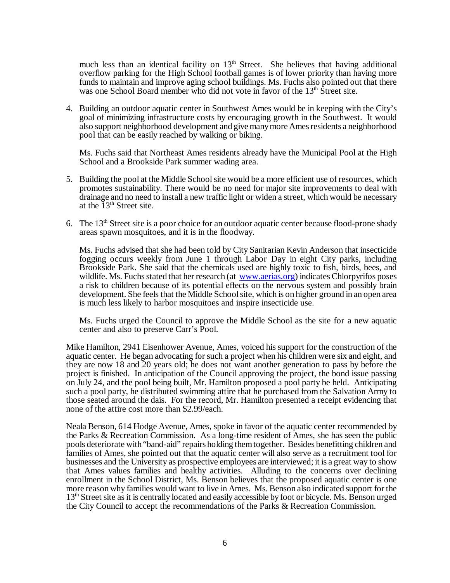much less than an identical facility on  $13<sup>th</sup>$  Street. She believes that having additional overflow parking for the High School football games is of lower priority than having more funds to maintain and improve aging school buildings. Ms. Fuchs also pointed out that there was one School Board member who did not vote in favor of the 13<sup>th</sup> Street site.

4. Building an outdoor aquatic center in Southwest Ames would be in keeping with the City's goal of minimizing infrastructure costs by encouraging growth in the Southwest. It would also support neighborhood development and give many more Ames residents a neighborhood pool that can be easily reached by walking or biking.

Ms. Fuchs said that Northeast Ames residents already have the Municipal Pool at the High School and a Brookside Park summer wading area.

- 5. Building the pool at the Middle School site would be a more efficient use of resources, which promotes sustainability. There would be no need for major site improvements to deal with drainage and no need to install a new traffic light or widen a street, which would be necessary at the  $13<sup>th</sup>$  Street site.
- 6. The  $13<sup>th</sup>$  Street site is a poor choice for an outdoor aquatic center because flood-prone shady areas spawn mosquitoes, and it is in the floodway.

Ms. Fuchs advised that she had been told by City Sanitarian Kevin Anderson that insecticide fogging occurs weekly from June 1 through Labor Day in eight City parks, including Brookside Park. She said that the chemicals used are highly toxic to fish, birds, bees, and wildlife. Ms. Fuchs stated that her research (at www.aerias.org) indicates Chlorpyrifos poses a risk to children because of its potential effects on the nervous system and possibly brain development. She feels that the Middle School site, which is on higher ground in an open area is much less likely to harbor mosquitoes and inspire insecticide use.

Ms. Fuchs urged the Council to approve the Middle School as the site for a new aquatic center and also to preserve Carr's Pool.

Mike Hamilton, 2941 Eisenhower Avenue, Ames, voiced his support for the construction of the aquatic center. He began advocating for such a project when his children were six and eight, and they are now 18 and 20 years old; he does not want another generation to pass by before the project is finished. In anticipation of the Council approving the project, the bond issue passing on July 24, and the pool being built, Mr. Hamilton proposed a pool party be held. Anticipating such a pool party, he distributed swimming attire that he purchased from the Salvation Army to those seated around the dais. For the record, Mr. Hamilton presented a receipt evidencing that none of the attire cost more than \$2.99/each.

Neala Benson, 614 Hodge Avenue, Ames, spoke in favor of the aquatic center recommended by the Parks & Recreation Commission. As a long-time resident of Ames, she has seen the public pools deteriorate with "band-aid" repairs holding them together. Besides benefitting children and families of Ames, she pointed out that the aquatic center will also serve as a recruitment tool for businesses and the University as prospective employees are interviewed; it is a great way to show that Ames values families and healthy activities. Alluding to the concerns over declining enrollment in the School District, Ms. Benson believes that the proposed aquatic center is one more reason why families would want to live in Ames. Ms. Benson also indicated support for the 13<sup>th</sup> Street site as it is centrally located and easily accessible by foot or bicycle. Ms. Benson urged the City Council to accept the recommendations of the Parks & Recreation Commission.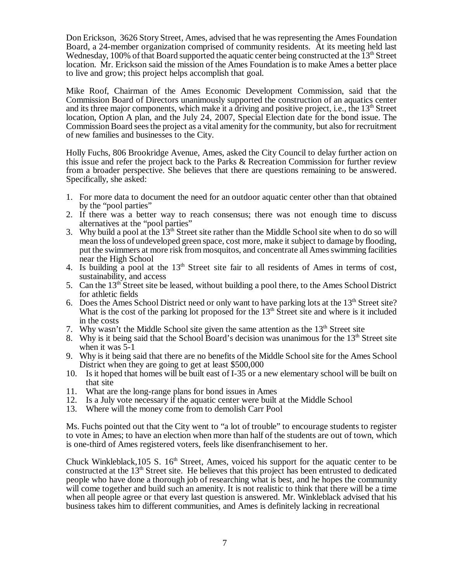Don Erickson, 3626 Story Street, Ames, advised that he was representing the Ames Foundation Board, a 24-member organization comprised of community residents. At its meeting held last Wednesday, 100% of that Board supported the aquatic center being constructed at the  $13<sup>th</sup>$  Street location. Mr. Erickson said the mission of the Ames Foundation is to make Ames a better place to live and grow; this project helps accomplish that goal.

Mike Roof, Chairman of the Ames Economic Development Commission, said that the Commission Board of Directors unanimously supported the construction of an aquatics center and its three major components, which make it a driving and positive project, i.e., the 13<sup>th</sup> Street location, Option A plan, and the July 24, 2007, Special Election date for the bond issue. The Commission Board sees the project as a vital amenity for the community, but also for recruitment of new families and businesses to the City.

Holly Fuchs, 806 Brookridge Avenue, Ames, asked the City Council to delay further action on this issue and refer the project back to the Parks & Recreation Commission for further review from a broader perspective. She believes that there are questions remaining to be answered. Specifically, she asked:

- 1. For more data to document the need for an outdoor aquatic center other than that obtained by the "pool parties"
- 2. If there was a better way to reach consensus; there was not enough time to discuss alternatives at the "pool parties"
- 3. Why build a pool at the  $13<sup>th</sup>$  Street site rather than the Middle School site when to do so will mean the loss of undeveloped green space, cost more, make it subject to damage by flooding, put the swimmers at more risk from mosquitos, and concentrate all Ames swimming facilities near the High School
- 4. Is building a pool at the  $13<sup>th</sup>$  Street site fair to all residents of Ames in terms of cost, sustainability, and access
- 5. Can the  $13<sup>th</sup>$  Street site be leased, without building a pool there, to the Ames School District for athletic fields
- 6. Does the Ames School District need or only want to have parking lots at the  $13<sup>th</sup>$  Street site? What is the cost of the parking lot proposed for the  $13<sup>th</sup>$  Street site and where is it included in the costs
- 7. Why wasn't the Middle School site given the same attention as the  $13<sup>th</sup>$  Street site
- 8. Why is it being said that the School Board's decision was unanimous for the  $13<sup>th</sup>$  Street site when it was 5-1
- 9. Why is it being said that there are no benefits of the Middle School site for the Ames School District when they are going to get at least \$500,000
- 10. Is it hoped that homes will be built east of I-35 or a new elementary school will be built on that site
- 11. What are the long-range plans for bond issues in Ames 12. Is a July vote necessary if the aquatic center were built
- 12. Is a July vote necessary if the aquatic center were built at the Middle School
- 13. Where will the money come from to demolish Carr Pool

Ms. Fuchs pointed out that the City went to "a lot of trouble" to encourage students to register to vote in Ames; to have an election when more than half of the students are out of town, which is one-third of Ames registered voters, feels like disenfranchisement to her.

Chuck Winkleblack,  $105 \text{ S}$ .  $16^{\text{th}}$  Street, Ames, voiced his support for the aquatic center to be constructed at the  $13<sup>th</sup>$  Street site. He believes that this project has been entrusted to dedicated people who have done a thorough job of researching what is best, and he hopes the community will come together and build such an amenity. It is not realistic to think that there will be a time when all people agree or that every last question is answered. Mr. Winkleblack advised that his business takes him to different communities, and Ames is definitely lacking in recreational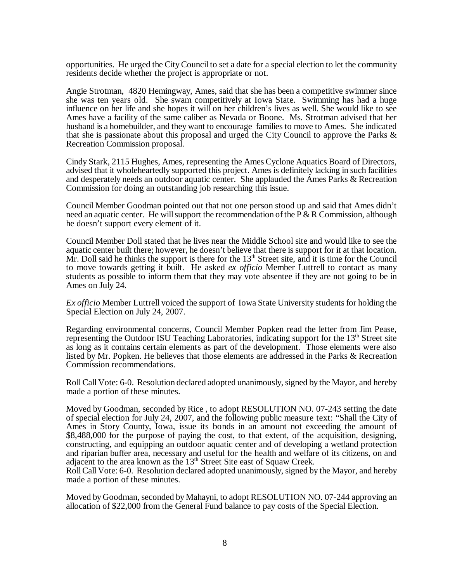opportunities. He urged the City Council to set a date for a special election to let the community residents decide whether the project is appropriate or not.

Angie Strotman, 4820 Hemingway, Ames, said that she has been a competitive swimmer since she was ten years old. She swam competitively at Iowa State. Swimming has had a huge influence on her life and she hopes it will on her children's lives as well. She would like to see Ames have a facility of the same caliber as Nevada or Boone. Ms. Strotman advised that her husband is a homebuilder, and they want to encourage families to move to Ames. She indicated that she is passionate about this proposal and urged the City Council to approve the Parks  $\&$ Recreation Commission proposal.

Cindy Stark, 2115 Hughes, Ames, representing the Ames Cyclone Aquatics Board of Directors, advised that it wholeheartedly supported this project. Ames is definitely lacking in such facilities and desperately needs an outdoor aquatic center. She applauded the Ames Parks & Recreation Commission for doing an outstanding job researching this issue.

Council Member Goodman pointed out that not one person stood up and said that Ames didn't need an aquatic center. He will support the recommendation of the  $P \& R$  Commission, although he doesn't support every element of it.

Council Member Doll stated that he lives near the Middle School site and would like to see the aquatic center built there; however, he doesn't believe that there is support for it at that location. Mr. Doll said he thinks the support is there for the  $13<sup>th</sup>$  Street site, and it is time for the Council to move towards getting it built. He asked *ex officio* Member Luttrell to contact as many students as possible to inform them that they may vote absentee if they are not going to be in Ames on July 24.

*Ex officio* Member Luttrell voiced the support of Iowa State University students for holding the Special Election on July 24, 2007.

Regarding environmental concerns, Council Member Popken read the letter from Jim Pease, representing the Outdoor ISU Teaching Laboratories, indicating support for the 13<sup>th</sup> Street site as long as it contains certain elements as part of the development. Those elements were also listed by Mr. Popken. He believes that those elements are addressed in the Parks & Recreation Commission recommendations.

Roll Call Vote: 6-0. Resolution declared adopted unanimously, signed by the Mayor, and hereby made a portion of these minutes.

Moved by Goodman, seconded by Rice , to adopt RESOLUTION NO. 07-243 setting the date of special election for July 24, 2007, and the following public measure text: "Shall the City of Ames in Story County, Iowa, issue its bonds in an amount not exceeding the amount of \$8,488,000 for the purpose of paying the cost, to that extent, of the acquisition, designing, constructing, and equipping an outdoor aquatic center and of developing a wetland protection and riparian buffer area, necessary and useful for the health and welfare of its citizens, on and adjacent to the area known as the 13<sup>th</sup> Street Site east of Squaw Creek.

Roll Call Vote: 6-0. Resolution declared adopted unanimously, signed by the Mayor, and hereby made a portion of these minutes.

Moved by Goodman, seconded by Mahayni, to adopt RESOLUTION NO. 07-244 approving an allocation of \$22,000 from the General Fund balance to pay costs of the Special Election.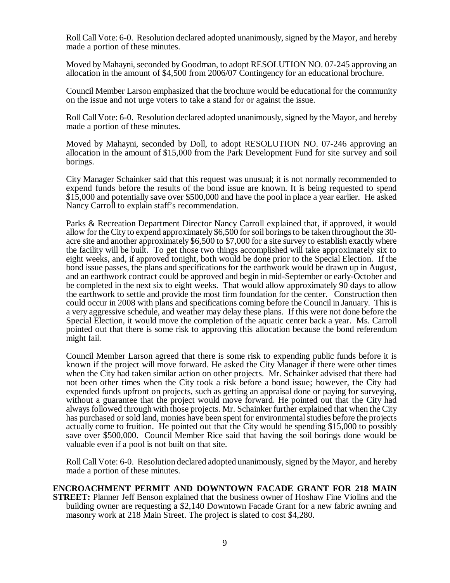Roll Call Vote: 6-0. Resolution declared adopted unanimously, signed by the Mayor, and hereby made a portion of these minutes.

Moved by Mahayni, seconded by Goodman, to adopt RESOLUTION NO. 07-245 approving an allocation in the amount of \$4,500 from 2006/07 Contingency for an educational brochure.

Council Member Larson emphasized that the brochure would be educational for the community on the issue and not urge voters to take a stand for or against the issue.

Roll Call Vote: 6-0. Resolution declared adopted unanimously, signed by the Mayor, and hereby made a portion of these minutes.

Moved by Mahayni, seconded by Doll, to adopt RESOLUTION NO. 07-246 approving an allocation in the amount of \$15,000 from the Park Development Fund for site survey and soil borings.

City Manager Schainker said that this request was unusual; it is not normally recommended to expend funds before the results of the bond issue are known. It is being requested to spend \$15,000 and potentially save over \$500,000 and have the pool in place a year earlier. He asked Nancy Carroll to explain staff's recommendation.

Parks & Recreation Department Director Nancy Carroll explained that, if approved, it would allow for the City to expend approximately \$6,500 for soil borings to be taken throughout the 30 acre site and another approximately \$6,500 to \$7,000 for a site survey to establish exactly where the facility will be built. To get those two things accomplished will take approximately six to eight weeks, and, if approved tonight, both would be done prior to the Special Election. If the bond issue passes, the plans and specifications for the earthwork would be drawn up in August, and an earthwork contract could be approved and begin in mid-September or early-October and be completed in the next six to eight weeks. That would allow approximately 90 days to allow the earthwork to settle and provide the most firm foundation for the center. Construction then could occur in 2008 with plans and specifications coming before the Council in January. This is a very aggressive schedule, and weather may delay these plans. If this were not done before the Special Election, it would move the completion of the aquatic center back a year. Ms. Carroll pointed out that there is some risk to approving this allocation because the bond referendum might fail.

Council Member Larson agreed that there is some risk to expending public funds before it is known if the project will move forward. He asked the City Manager if there were other times when the City had taken similar action on other projects. Mr. Schainker advised that there had not been other times when the City took a risk before a bond issue; however, the City had expended funds upfront on projects, such as getting an appraisal done or paying for surveying, without a guarantee that the project would move forward. He pointed out that the City had always followed through with those projects. Mr. Schainker further explained that when the City has purchased or sold land, monies have been spent for environmental studies before the projects actually come to fruition. He pointed out that the City would be spending \$15,000 to possibly save over \$500,000. Council Member Rice said that having the soil borings done would be valuable even if a pool is not built on that site.

Roll Call Vote: 6-0. Resolution declared adopted unanimously, signed by the Mayor, and hereby made a portion of these minutes.

**ENCROACHMENT PERMIT AND DOWNTOWN FACADE GRANT FOR 218 MAIN STREET:** Planner Jeff Benson explained that the business owner of Hoshaw Fine Violins and the building owner are requesting a \$2,140 Downtown Facade Grant for a new fabric awning and masonry work at 218 Main Street. The project is slated to cost \$4,280.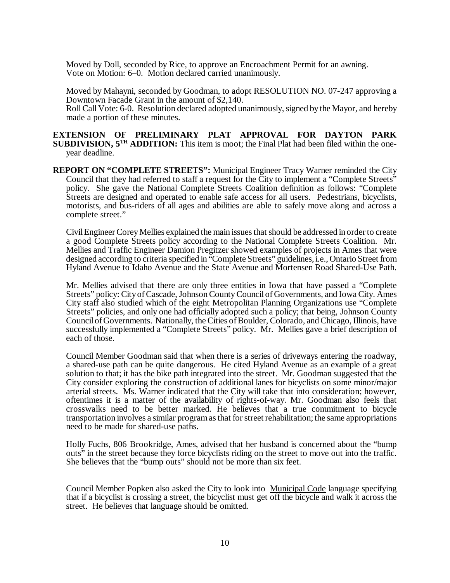Moved by Doll, seconded by Rice, to approve an Encroachment Permit for an awning. Vote on Motion: 6–0. Motion declared carried unanimously.

Moved by Mahayni, seconded by Goodman, to adopt RESOLUTION NO. 07-247 approving a Downtown Facade Grant in the amount of \$2,140.

Roll Call Vote: 6-0. Resolution declared adopted unanimously, signed by the Mayor, and hereby made a portion of these minutes.

**EXTENSION OF PRELIMINARY PLAT APPROVAL FOR DAYTON PARK SUBDIVISION, 5<sup>TH</sup> ADDITION:** This item is moot; the Final Plat had been filed within the oneyear deadline.

**REPORT ON "COMPLETE STREETS":** Municipal Engineer Tracy Warner reminded the City Council that they had referred to staff a request for the City to implement a "Complete Streets" policy. She gave the National Complete Streets Coalition definition as follows: "Complete Streets are designed and operated to enable safe access for all users. Pedestrians, bicyclists, motorists, and bus-riders of all ages and abilities are able to safely move along and across a complete street."

Civil Engineer Corey Mellies explained the main issues that should be addressed in order to create a good Complete Streets policy according to the National Complete Streets Coalition. Mr. Mellies and Traffic Engineer Damion Pregitzer showed examples of projects in Ames that were designed according to criteria specified in "Complete Streets" guidelines, i.e., Ontario Street from Hyland Avenue to Idaho Avenue and the State Avenue and Mortensen Road Shared-Use Path.

Mr. Mellies advised that there are only three entities in Iowa that have passed a "Complete Streets" policy: City of Cascade, Johnson County Council of Governments, and Iowa City. Ames City staff also studied which of the eight Metropolitan Planning Organizations use "Complete Streets" policies, and only one had officially adopted such a policy; that being, Johnson County Council of Governments. Nationally, the Cities of Boulder, Colorado, and Chicago, Illinois, have successfully implemented a "Complete Streets" policy. Mr. Mellies gave a brief description of each of those.

Council Member Goodman said that when there is a series of driveways entering the roadway, a shared-use path can be quite dangerous. He cited Hyland Avenue as an example of a great solution to that; it has the bike path integrated into the street. Mr. Goodman suggested that the City consider exploring the construction of additional lanes for bicyclists on some minor/major arterial streets. Ms. Warner indicated that the City will take that into consideration; however, oftentimes it is a matter of the availability of rights-of-way. Mr. Goodman also feels that crosswalks need to be better marked. He believes that a true commitment to bicycle transportation involves a similar program as that for street rehabilitation; the same appropriations need to be made for shared-use paths.

Holly Fuchs, 806 Brookridge, Ames, advised that her husband is concerned about the "bump outs" in the street because they force bicyclists riding on the street to move out into the traffic. She believes that the "bump outs" should not be more than six feet.

Council Member Popken also asked the City to look into Municipal Code language specifying that if a bicyclist is crossing a street, the bicyclist must get off the bicycle and walk it across the street. He believes that language should be omitted.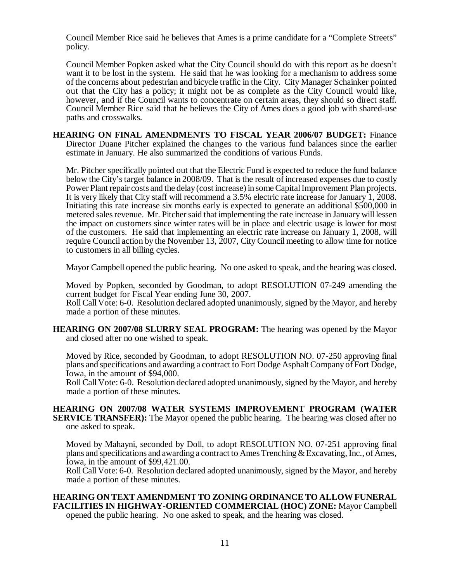Council Member Rice said he believes that Ames is a prime candidate for a "Complete Streets" policy.

Council Member Popken asked what the City Council should do with this report as he doesn't want it to be lost in the system. He said that he was looking for a mechanism to address some of the concerns about pedestrian and bicycle traffic in the City. City Manager Schainker pointed out that the City has a policy; it might not be as complete as the City Council would like, however, and if the Council wants to concentrate on certain areas, they should so direct staff. Council Member Rice said that he believes the City of Ames does a good job with shared-use paths and crosswalks.

**HEARING ON FINAL AMENDMENTS TO FISCAL YEAR 2006/07 BUDGET:** Finance Director Duane Pitcher explained the changes to the various fund balances since the earlier estimate in January. He also summarized the conditions of various Funds.

Mr. Pitcher specifically pointed out that the Electric Fund is expected to reduce the fund balance below the City's target balance in 2008/09. That is the result of increased expenses due to costly Power Plant repair costs and the delay (cost increase) in some Capital Improvement Plan projects. It is very likely that City staff will recommend a 3.5% electric rate increase for January 1, 2008. Initiating this rate increase six months early is expected to generate an additional \$500,000 in metered sales revenue. Mr. Pitcher said that implementing the rate increase in January will lessen the impact on customers since winter rates will be in place and electric usage is lower for most of the customers. He said that implementing an electric rate increase on January 1, 2008, will require Council action by the November 13, 2007, City Council meeting to allow time for notice to customers in all billing cycles.

Mayor Campbell opened the public hearing. No one asked to speak, and the hearing was closed.

Moved by Popken, seconded by Goodman, to adopt RESOLUTION 07-249 amending the current budget for Fiscal Year ending June 30, 2007.

Roll Call Vote: 6-0. Resolution declared adopted unanimously, signed by the Mayor, and hereby made a portion of these minutes.

**HEARING ON 2007/08 SLURRY SEAL PROGRAM:** The hearing was opened by the Mayor and closed after no one wished to speak.

Moved by Rice, seconded by Goodman, to adopt RESOLUTION NO. 07-250 approving final plans and specifications and awarding a contract to Fort Dodge Asphalt Company of Fort Dodge, Iowa, in the amount of \$94,000.

Roll Call Vote: 6-0. Resolution declared adopted unanimously, signed by the Mayor, and hereby made a portion of these minutes.

**HEARING ON 2007/08 WATER SYSTEMS IMPROVEMENT PROGRAM (WATER SERVICE TRANSFER):** The Mayor opened the public hearing. The hearing was closed after no one asked to speak.

Moved by Mahayni, seconded by Doll, to adopt RESOLUTION NO. 07-251 approving final plans and specifications and awarding a contract to Ames Trenching & Excavating, Inc., of Ames, Iowa, in the amount of \$99,421.00.

Roll Call Vote: 6-0. Resolution declared adopted unanimously, signed by the Mayor, and hereby made a portion of these minutes.

**HEARING ON TEXT AMENDMENT TO ZONING ORDINANCE TO ALLOW FUNERAL FACILITIES IN HIGHWAY-ORIENTED COMMERCIAL (HOC) ZONE:** Mayor Campbell opened the public hearing. No one asked to speak, and the hearing was closed.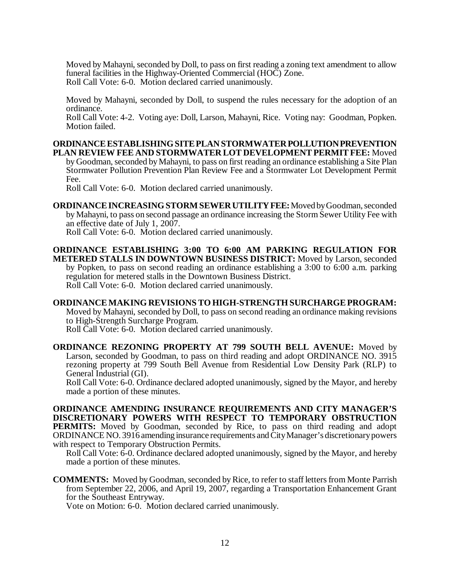Moved by Mahayni, seconded by Doll, to pass on first reading a zoning text amendment to allow funeral facilities in the Highway-Oriented Commercial (HOC) Zone. Roll Call Vote: 6-0. Motion declared carried unanimously.

Moved by Mahayni, seconded by Doll, to suspend the rules necessary for the adoption of an ordinance.

Roll Call Vote: 4-2. Voting aye: Doll, Larson, Mahayni, Rice. Voting nay: Goodman, Popken. Motion failed.

# **ORDINANCE ESTABLISHING SITE PLAN STORMWATER POLLUTION PREVENTION PLAN REVIEW FEE AND STORMWATER LOT DEVELOPMENT PERMIT FEE:** Moved

by Goodman, seconded by Mahayni, to pass on first reading an ordinance establishing a Site Plan Stormwater Pollution Prevention Plan Review Fee and a Stormwater Lot Development Permit Fee.

Roll Call Vote: 6-0. Motion declared carried unanimously.

**ORDINANCE INCREASING STORM SEWER UTILITY FEE:** Moved by Goodman, seconded by Mahayni, to pass on second passage an ordinance increasing the Storm Sewer Utility Fee with an effective date of July 1, 2007.

Roll Call Vote: 6-0. Motion declared carried unanimously.

**ORDINANCE ESTABLISHING 3:00 TO 6:00 AM PARKING REGULATION FOR METERED STALLS IN DOWNTOWN BUSINESS DISTRICT:** Moved by Larson, seconded by Popken, to pass on second reading an ordinance establishing a 3:00 to 6:00 a.m. parking regulation for metered stalls in the Downtown Business District. Roll Call Vote: 6-0. Motion declared carried unanimously.

**ORDINANCE MAKING REVISIONS TO HIGH-STRENGTH SURCHARGE PROGRAM:** Moved by Mahayni, seconded by Doll, to pass on second reading an ordinance making revisions to High-Strength Surcharge Program. Roll Call Vote: 6-0. Motion declared carried unanimously.

**ORDINANCE REZONING PROPERTY AT 799 SOUTH BELL AVENUE:** Moved by Larson, seconded by Goodman, to pass on third reading and adopt ORDINANCE NO. 3915 rezoning property at 799 South Bell Avenue from Residential Low Density Park (RLP) to General Industrial (GI).

Roll Call Vote: 6-0. Ordinance declared adopted unanimously, signed by the Mayor, and hereby made a portion of these minutes.

**ORDINANCE AMENDING INSURANCE REQUIREMENTS AND CITY MANAGER'S DISCRETIONARY POWERS WITH RESPECT TO TEMPORARY OBSTRUCTION PERMITS:** Moved by Goodman, seconded by Rice, to pass on third reading and adopt ORDINANCE NO. 3916 amending insurance requirements and City Manager's discretionary powers with respect to Temporary Obstruction Permits.

Roll Call Vote: 6-0. Ordinance declared adopted unanimously, signed by the Mayor, and hereby made a portion of these minutes.

**COMMENTS:** Moved by Goodman, seconded by Rice, to refer to staff letters from Monte Parrish from September 22, 2006, and April 19, 2007, regarding a Transportation Enhancement Grant for the Southeast Entryway.

Vote on Motion: 6-0. Motion declared carried unanimously.